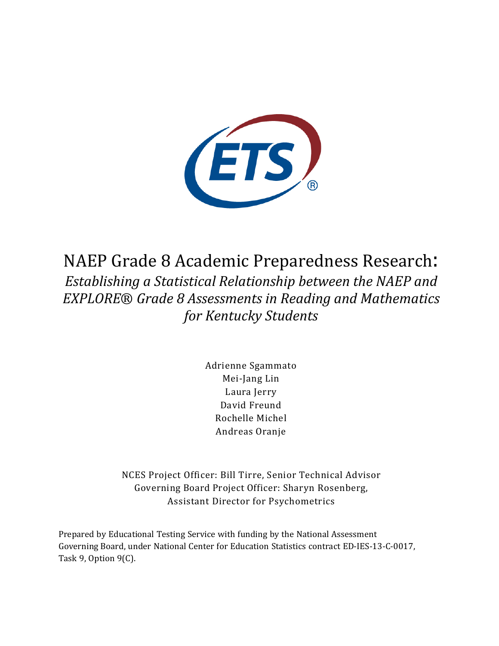

NAEP Grade 8 Academic Preparedness Research: *Establishing a Statistical Relationship between the NAEP and EXPLORE*® *Grade 8 Assessments in Reading and Mathematics for Kentucky Students*

> Adrienne Sgammato Mei-Jang Lin Laura Jerry David Freund Rochelle Michel Andreas Oranje

NCES Project Officer: Bill Tirre, Senior Technical Advisor Governing Board Project Officer: Sharyn Rosenberg, Assistant Director for Psychometrics

Prepared by Educational Testing Service with funding by the National Assessment Governing Board, under National Center for Education Statistics contract ED-IES-13-C-0017, Task 9, Option 9(C).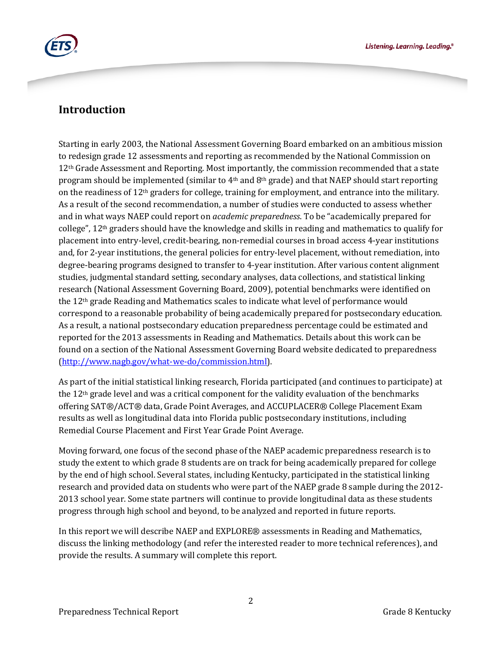

## **Introduction**

Starting in early 2003, the National Assessment Governing Board embarked on an ambitious mission to redesign grade 12 assessments and reporting as recommended by the National Commission on 12<sup>th</sup> Grade Assessment and Reporting. Most importantly, the commission recommended that a state program should be implemented (similar to  $4<sup>th</sup>$  and  $8<sup>th</sup>$  grade) and that NAEP should start reporting on the readiness of 12th graders for college, training for employment, and entrance into the military. As a result of the second recommendation, a number of studies were conducted to assess whether and in what ways NAEP could report on *academic preparedness*. To be "academically prepared for college", 12th graders should have the knowledge and skills in reading and mathematics to qualify for placement into entry-level, credit-bearing, non-remedial courses in broad access 4-year institutions and, for 2-year institutions, the general policies for entry-level placement, without remediation, into degree-bearing programs designed to transfer to 4-year institution. After various content alignment studies, judgmental standard setting, secondary analyses, data collections, and statistical linking research (National Assessment Governing Board, 2009), potential benchmarks were identified on the 12th grade Reading and Mathematics scales to indicate what level of performance would correspond to a reasonable probability of being academically prepared for postsecondary education. As a result, a national postsecondary education preparedness percentage could be estimated and reported for the 2013 assessments in Reading and Mathematics. Details about this work can be found on a section of the National Assessment Governing Board website dedicated to preparedness [\(http://www.nagb.gov/what-we-do/commission.html\)](http://www.nagb.gov/what-we-do/commission.html).

As part of the initial statistical linking research, Florida participated (and continues to participate) at the  $12<sup>th</sup>$  grade level and was a critical component for the validity evaluation of the benchmarks offering SAT®/ACT® data, Grade Point Averages, and ACCUPLACER® College Placement Exam results as well as longitudinal data into Florida public postsecondary institutions, including Remedial Course Placement and First Year Grade Point Average.

Moving forward, one focus of the second phase of the NAEP academic preparedness research is to study the extent to which grade 8 students are on track for being academically prepared for college by the end of high school. Several states, including Kentucky, participated in the statistical linking research and provided data on students who were part of the NAEP grade 8 sample during the 2012- 2013 school year. Some state partners will continue to provide longitudinal data as these students progress through high school and beyond, to be analyzed and reported in future reports.

In this report we will describe NAEP and EXPLORE® assessments in Reading and Mathematics, discuss the linking methodology (and refer the interested reader to more technical references), and provide the results. A summary will complete this report.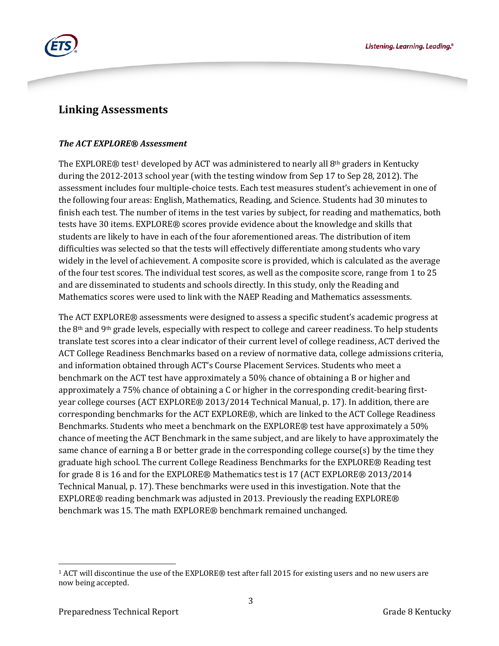

## **Linking Assessments**

### *The ACT EXPLORE® Assessment*

The EXPLORE $\circledR$  test<sup>[1](#page-2-0)</sup> developed by ACT was administered to nearly all  $8<sup>th</sup>$  graders in Kentucky during the 2012-2013 school year (with the testing window from Sep 17 to Sep 28, 2012). The assessment includes four multiple-choice tests. Each test measures student's achievement in one of the following four areas: English, Mathematics, Reading, and Science. Students had 30 minutes to finish each test. The number of items in the test varies by subject, for reading and mathematics, both tests have 30 items. EXPLORE® scores provide evidence about the knowledge and skills that students are likely to have in each of the four aforementioned areas. The distribution of item difficulties was selected so that the tests will effectively differentiate among students who vary widely in the level of achievement. A composite score is provided, which is calculated as the average of the four test scores. The individual test scores, as well as the composite score, range from 1 to 25 and are disseminated to students and schools directly. In this study, only the Reading and Mathematics scores were used to link with the NAEP Reading and Mathematics assessments.

The ACT EXPLORE® assessments were designed to assess a specific student's academic progress at the 8th and 9th grade levels, especially with respect to college and career readiness. To help students translate test scores into a clear indicator of their current level of college readiness, ACT derived the ACT College Readiness Benchmarks based on a review of normative data, college admissions criteria, and information obtained through ACT's Course Placement Services. Students who meet a benchmark on the ACT test have approximately a 50% chance of obtaining a B or higher and approximately a 75% chance of obtaining a C or higher in the corresponding credit-bearing firstyear college courses (ACT EXPLORE® 2013/2014 Technical Manual, p. 17). In addition, there are corresponding benchmarks for the ACT EXPLORE®, which are linked to the ACT College Readiness Benchmarks. Students who meet a benchmark on the EXPLORE® test have approximately a 50% chance of meeting the ACT Benchmark in the same subject, and are likely to have approximately the same chance of earning a B or better grade in the corresponding college course(s) by the time they graduate high school. The current College Readiness Benchmarks for the EXPLORE® Reading test for grade 8 is 16 and for the EXPLORE® Mathematics test is 17 (ACT EXPLORE® 2013/2014 Technical Manual, p. 17). These benchmarks were used in this investigation. Note that the EXPLORE® reading benchmark was adjusted in 2013. Previously the reading EXPLORE® benchmark was 15. The math EXPLORE® benchmark remained unchanged.

<span id="page-2-0"></span>j <sup>1</sup> ACT will discontinue the use of the EXPLORE® test after fall 2015 for existing users and no new users are now being accepted.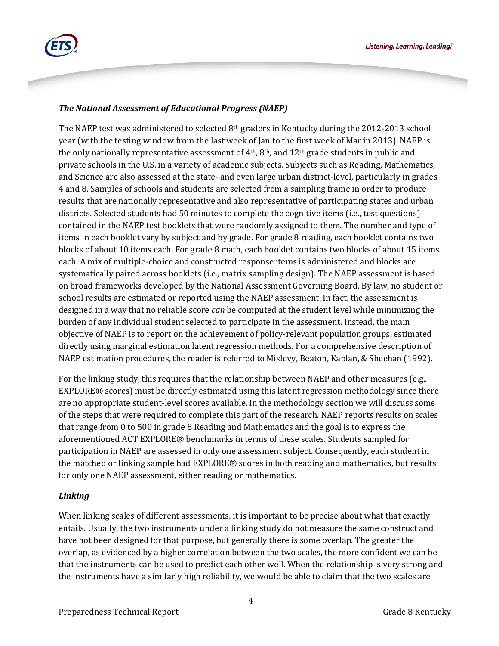

### *The National Assessment of Educational Progress (NAEP)*

The NAEP test was administered to selected  $8<sup>th</sup>$  graders in Kentucky during the 2012-2013 school year (with the testing window from the last week of Jan to the first week of Mar in 2013). NAEP is the only nationally representative assessment of  $4<sup>th</sup>$ ,  $8<sup>th</sup>$ , and  $12<sup>th</sup>$  grade students in public and private schools in the U.S. in a variety of academic subjects. Subjects such as Reading, Mathematics, and Science are also assessed at the state- and even large urban district-level, particularly in grades 4 and 8. Samples of schools and students are selected from a sampling frame in order to produce results that are nationally representative and also representative of participating states and urban districts. Selected students had 50 minutes to complete the cognitive items (i.e., test questions) contained in the NAEP test booklets that were randomly assigned to them. The number and type of items in each booklet vary by subject and by grade. For grade 8 reading, each booklet contains two blocks of about 10 items each. For grade 8 math, each booklet contains two blocks of about 15 items each. A mix of multiple-choice and constructed response items is administered and blocks are systematically paired across booklets (i.e., matrix sampling design). The NAEP assessment is based on broad frameworks developed by the National Assessment Governing Board. By law, no student or school results are estimated or reported using the NAEP assessment. In fact, the assessment is designed in a way that no reliable score *can* be computed at the student level while minimizing the burden of any individual student selected to participate in the assessment. Instead, the main objective of NAEP is to report on the achievement of policy-relevant population groups, estimated directly using marginal estimation latent regression methods. For a comprehensive description of NAEP estimation procedures, the reader is referred to Mislevy, Beaton, Kaplan, & Sheehan (1992).

For the linking study, this requires that the relationship between NAEP and other measures (e.g., EXPLORE® scores) must be directly estimated using this latent regression methodology since there are no appropriate student-level scores available. In the methodology section we will discuss some of the steps that were required to complete this part of the research. NAEP reports results on scales that range from 0 to 500 in grade 8 Reading and Mathematics and the goal is to express the aforementioned ACT EXPLORE® benchmarks in terms of these scales. Students sampled for participation in NAEP are assessed in only one assessment subject. Consequently, each student in the matched or linking sample had EXPLORE® scores in both reading and mathematics, but results for only one NAEP assessment, either reading or mathematics.

### *Linking*

When linking scales of different assessments, it is important to be precise about what that exactly entails. Usually, the two instruments under a linking study do not measure the same construct and have not been designed for that purpose, but generally there is some overlap. The greater the overlap, as evidenced by a higher correlation between the two scales, the more confident we can be that the instruments can be used to predict each other well. When the relationship is very strong and the instruments have a similarly high reliability, we would be able to claim that the two scales are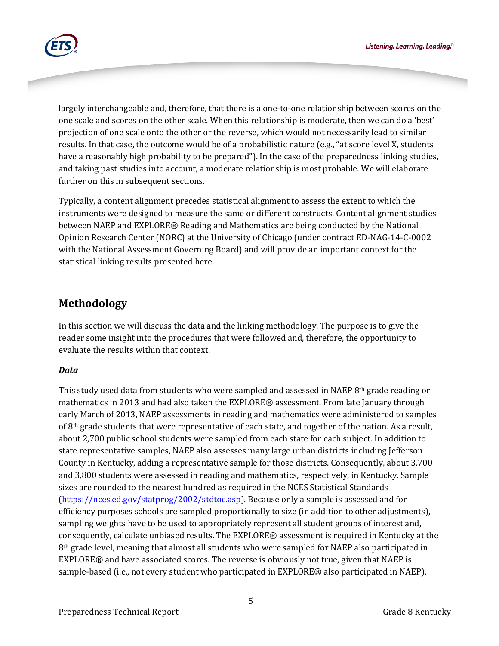

largely interchangeable and, therefore, that there is a one-to-one relationship between scores on the one scale and scores on the other scale. When this relationship is moderate, then we can do a 'best' projection of one scale onto the other or the reverse, which would not necessarily lead to similar results. In that case, the outcome would be of a probabilistic nature (e.g., "at score level X, students have a reasonably high probability to be prepared"). In the case of the preparedness linking studies, and taking past studies into account, a moderate relationship is most probable. We will elaborate further on this in subsequent sections.

Typically, a content alignment precedes statistical alignment to assess the extent to which the instruments were designed to measure the same or different constructs. Content alignment studies between NAEP and EXPLORE® Reading and Mathematics are being conducted by the National Opinion Research Center (NORC) at the University of Chicago (under contract ED-NAG-14-C-0002 with the National Assessment Governing Board) and will provide an important context for the statistical linking results presented here.

# **Methodology**

In this section we will discuss the data and the linking methodology. The purpose is to give the reader some insight into the procedures that were followed and, therefore, the opportunity to evaluate the results within that context.

### *Data*

This study used data from students who were sampled and assessed in NAEP  $8<sup>th</sup>$  grade reading or mathematics in 2013 and had also taken the EXPLORE® assessment. From late January through early March of 2013, NAEP assessments in reading and mathematics were administered to samples of 8th grade students that were representative of each state, and together of the nation. As a result, about 2,700 public school students were sampled from each state for each subject. In addition to state representative samples, NAEP also assesses many large urban districts including Jefferson County in Kentucky, adding a representative sample for those districts. Consequently, about 3,700 and 3,800 students were assessed in reading and mathematics, respectively, in Kentucky. Sample sizes are rounded to the nearest hundred as required in the NCES Statistical Standards [\(https://nces.ed.gov/statprog/2002/stdtoc.asp\)](https://nces.ed.gov/statprog/2002/stdtoc.asp). Because only a sample is assessed and for efficiency purposes schools are sampled proportionally to size (in addition to other adjustments), sampling weights have to be used to appropriately represent all student groups of interest and, consequently, calculate unbiased results. The EXPLORE® assessment is required in Kentucky at the 8<sup>th</sup> grade level, meaning that almost all students who were sampled for NAEP also participated in EXPLORE® and have associated scores. The reverse is obviously not true, given that NAEP is sample-based (i.e., not every student who participated in EXPLORE® also participated in NAEP).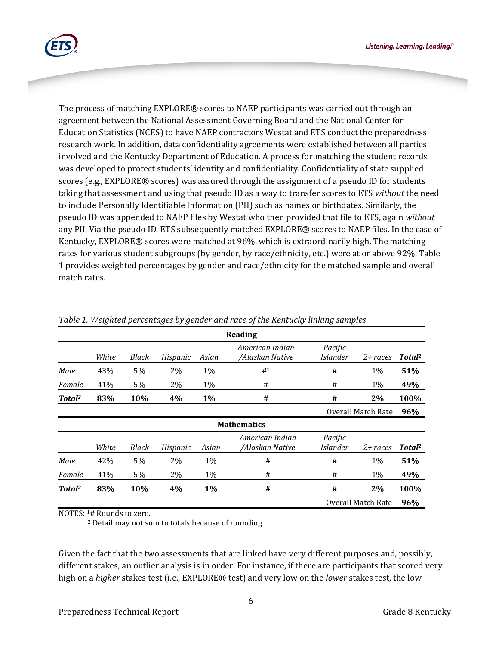Listening. Learning. Leading.<sup>®</sup>



The process of matching EXPLORE® scores to NAEP participants was carried out through an agreement between the National Assessment Governing Board and the National Center for Education Statistics (NCES) to have NAEP contractors Westat and ETS conduct the preparedness research work. In addition, data confidentiality agreements were established between all parties involved and the Kentucky Department of Education. A process for matching the student records was developed to protect students' identity and confidentiality. Confidentiality of state supplied scores (e.g., EXPLORE® scores) was assured through the assignment of a pseudo ID for students taking that assessment and using that pseudo ID as a way to transfer scores to ETS *without* the need to include Personally Identifiable Information (PII) such as names or birthdates. Similarly, the pseudo ID was appended to NAEP files by Westat who then provided that file to ETS, again *without*  any PII. Via the pseudo ID, ETS subsequently matched EXPLORE® scores to NAEP files. In the case of Kentucky, EXPLORE® scores were matched at 96%, which is extraordinarily high. The matching rates for various student subgroups (by gender, by race/ethnicity, etc.) were at or above 92%. Table 1 provides weighted percentages by gender and race/ethnicity for the matched sample and overall match rates.

| Reading            |       |              |          |       |                                    |                           |                    |                    |  |  |
|--------------------|-------|--------------|----------|-------|------------------------------------|---------------------------|--------------------|--------------------|--|--|
|                    | White | <b>Black</b> | Hispanic | Asian | American Indian<br>/Alaskan Native | Pacific<br>Islander       | $2 + races$        | Total <sup>2</sup> |  |  |
| Male               | 43%   | 5%           | 2%       | 1%    | # <sup>1</sup>                     | #                         | 1%                 | 51%                |  |  |
| Female             | 41%   | 5%           | 2%       | 1%    | #                                  | #                         | 1%                 | 49%                |  |  |
| Total <sup>2</sup> | 83%   | 10%          | 4%       | $1\%$ | #                                  | #                         | 2%                 | 100%               |  |  |
|                    |       |              |          |       |                                    |                           | Overall Match Rate | 96%                |  |  |
|                    |       |              |          |       | <b>Mathematics</b>                 |                           |                    |                    |  |  |
|                    | White | Black        | Hispanic | Asian | American Indian<br>/Alaskan Native | Pacific<br>Islander       | $2 + races$        | Total <sup>2</sup> |  |  |
| Male               | 42%   | 5%           | 2%       | 1%    | #                                  | #                         | 1%                 | 51%                |  |  |
| Female             | 41%   | 5%           | 2%       | 1%    | #                                  | #                         | 1%                 | 49%                |  |  |
| Total <sup>2</sup> | 83%   | 10%          | 4%       | $1\%$ | #                                  | #                         | 2%                 | 100%               |  |  |
|                    |       |              |          |       |                                    | <b>Overall Match Rate</b> |                    | 96%                |  |  |

*Table 1. Weighted percentages by gender and race of the Kentucky linking samples*

NOTES: 1# Rounds to zero.

<sup>2</sup> Detail may not sum to totals because of rounding.

Given the fact that the two assessments that are linked have very different purposes and, possibly, different stakes, an outlier analysis is in order. For instance, if there are participants that scored very high on a *higher* stakes test (i.e., EXPLORE® test) and very low on the *lower* stakes test, the low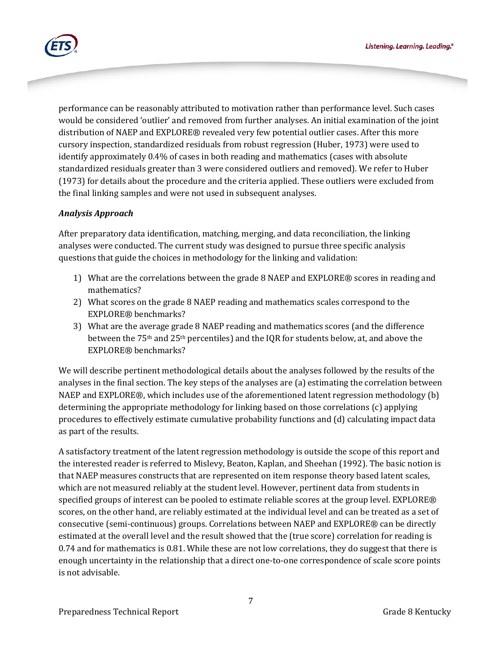

performance can be reasonably attributed to motivation rather than performance level. Such cases would be considered 'outlier' and removed from further analyses. An initial examination of the joint distribution of NAEP and EXPLORE® revealed very few potential outlier cases. After this more cursory inspection, standardized residuals from robust regression (Huber, 1973) were used to identify approximately 0.4% of cases in both reading and mathematics (cases with absolute standardized residuals greater than 3 were considered outliers and removed). We refer to Huber (1973) for details about the procedure and the criteria applied. These outliers were excluded from the final linking samples and were not used in subsequent analyses.

## *Analysis Approach*

After preparatory data identification, matching, merging, and data reconciliation, the linking analyses were conducted. The current study was designed to pursue three specific analysis questions that guide the choices in methodology for the linking and validation:

- 1) What are the correlations between the grade 8 NAEP and EXPLORE® scores in reading and mathematics?
- 2) What scores on the grade 8 NAEP reading and mathematics scales correspond to the EXPLORE® benchmarks?
- 3) What are the average grade 8 NAEP reading and mathematics scores (and the difference between the 75th and 25th percentiles) and the IQR for students below, at, and above the EXPLORE® benchmarks?

We will describe pertinent methodological details about the analyses followed by the results of the analyses in the final section. The key steps of the analyses are (a) estimating the correlation between NAEP and EXPLORE®, which includes use of the aforementioned latent regression methodology (b) determining the appropriate methodology for linking based on those correlations (c) applying procedures to effectively estimate cumulative probability functions and (d) calculating impact data as part of the results.

A satisfactory treatment of the latent regression methodology is outside the scope of this report and the interested reader is referred to Mislevy, Beaton, Kaplan, and Sheehan (1992). The basic notion is that NAEP measures constructs that are represented on item response theory based latent scales, which are not measured reliably at the student level. However, pertinent data from students in specified groups of interest can be pooled to estimate reliable scores at the group level. EXPLORE® scores, on the other hand, are reliably estimated at the individual level and can be treated as a set of consecutive (semi-continuous) groups. Correlations between NAEP and EXPLORE® can be directly estimated at the overall level and the result showed that the (true score) correlation for reading is 0.74 and for mathematics is 0.81. While these are not low correlations, they do suggest that there is enough uncertainty in the relationship that a direct one-to-one correspondence of scale score points is not advisable.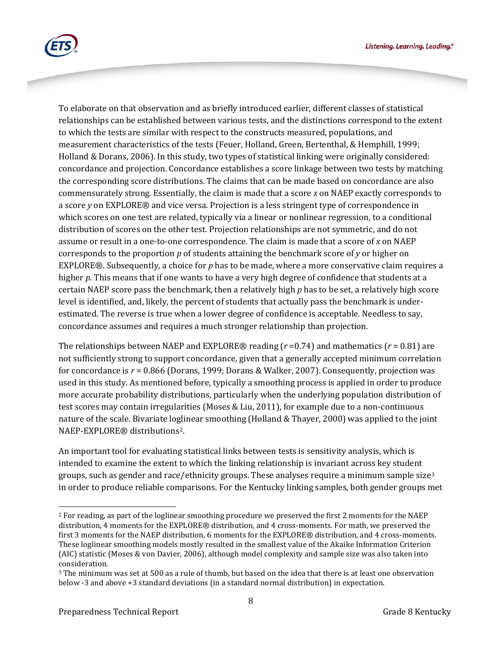

To elaborate on that observation and as briefly introduced earlier, different classes of statistical relationships can be established between various tests, and the distinctions correspond to the extent to which the tests are similar with respect to the constructs measured, populations, and measurement characteristics of the tests (Feuer, Holland, Green, Bertenthal, & Hemphill, 1999; Holland & Dorans, 2006). In this study, two types of statistical linking were originally considered: concordance and projection. Concordance establishes a score linkage between two tests by matching the corresponding score distributions. The claims that can be made based on concordance are also commensurately strong. Essentially, the claim is made that a score *x* on NAEP exactly corresponds to a score *y* on EXPLORE® and vice versa. Projection is a less stringent type of correspondence in which scores on one test are related, typically via a linear or nonlinear regression, to a conditional distribution of scores on the other test. Projection relationships are not symmetric, and do not assume or result in a one-to-one correspondence. The claim is made that a score of *x* on NAEP corresponds to the proportion *p* of students attaining the benchmark score of *y* or higher on EXPLORE®. Subsequently, a choice for *p* has to be made, where a more conservative claim requires a higher *p*. This means that if one wants to have a very high degree of confidence that students at a certain NAEP score pass the benchmark, then a relatively high *p* has to be set, a relatively high score level is identified, and, likely, the percent of students that actually pass the benchmark is underestimated. The reverse is true when a lower degree of confidence is acceptable. Needless to say, concordance assumes and requires a much stronger relationship than projection.

The relationships between NAEP and EXPLORE<sup>®</sup> reading ( $r = 0.74$ ) and mathematics ( $r = 0.81$ ) are not sufficiently strong to support concordance, given that a generally accepted minimum correlation for concordance is *r* = 0.866 (Dorans, 1999; Dorans & Walker, 2007). Consequently, projection was used in this study. As mentioned before, typically a smoothing process is applied in order to produce more accurate probability distributions, particularly when the underlying population distribution of test scores may contain irregularities (Moses & Liu, 2011), for example due to a non-continuous nature of the scale. Bivariate loglinear smoothing (Holland & Thayer, 2000) was applied to the joint NAEP-EXPLORE® distributions[2.](#page-7-0)

An important tool for evaluating statistical links between tests is sensitivity analysis, which is intended to examine the extent to which the linking relationship is invariant across key student groups, such as gender and race/ethnicity groups. These analyses require a minimum sample size<sup>[3](#page-7-1)</sup> in order to produce reliable comparisons. For the Kentucky linking samples, both gender groups met

<span id="page-7-0"></span>j <sup>2</sup> For reading, as part of the loglinear smoothing procedure we preserved the first 2 moments for the NAEP distribution, 4 moments for the EXPLORE® distribution, and 4 cross-moments. For math, we preserved the first 3 moments for the NAEP distribution, 6 moments for the EXPLORE® distribution, and 4 cross-moments. These loglinear smoothing models mostly resulted in the smallest value of the Akaike Information Criterion (AIC) statistic (Moses & von Davier, 2006), although model complexity and sample size was also taken into

<span id="page-7-1"></span> $3$  The minimum was set at 500 as a rule of thumb, but based on the idea that there is at least one observation below -3 and above +3 standard deviations (in a standard normal distribution) in expectation.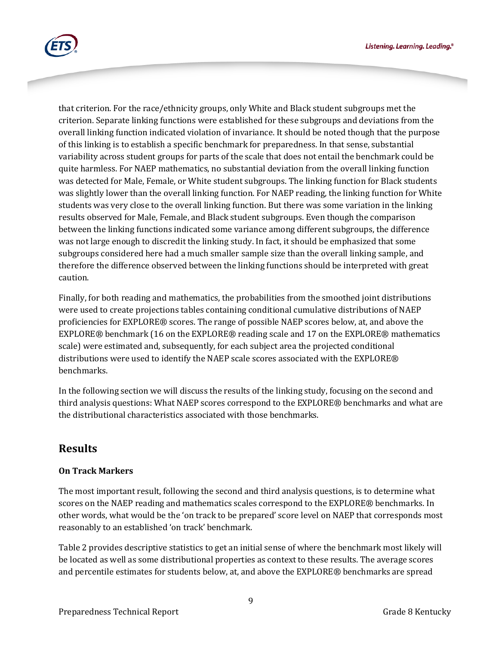

that criterion. For the race/ethnicity groups, only White and Black student subgroups met the criterion. Separate linking functions were established for these subgroups and deviations from the overall linking function indicated violation of invariance. It should be noted though that the purpose of this linking is to establish a specific benchmark for preparedness. In that sense, substantial variability across student groups for parts of the scale that does not entail the benchmark could be quite harmless. For NAEP mathematics, no substantial deviation from the overall linking function was detected for Male, Female, or White student subgroups. The linking function for Black students was slightly lower than the overall linking function. For NAEP reading, the linking function for White students was very close to the overall linking function. But there was some variation in the linking results observed for Male, Female, and Black student subgroups. Even though the comparison between the linking functions indicated some variance among different subgroups, the difference was not large enough to discredit the linking study. In fact, it should be emphasized that some subgroups considered here had a much smaller sample size than the overall linking sample, and therefore the difference observed between the linking functions should be interpreted with great caution.

Finally, for both reading and mathematics, the probabilities from the smoothed joint distributions were used to create projections tables containing conditional cumulative distributions of NAEP proficiencies for EXPLORE® scores. The range of possible NAEP scores below, at, and above the EXPLORE® benchmark (16 on the EXPLORE® reading scale and 17 on the EXPLORE® mathematics scale) were estimated and, subsequently, for each subject area the projected conditional distributions were used to identify the NAEP scale scores associated with the EXPLORE® benchmarks.

In the following section we will discuss the results of the linking study, focusing on the second and third analysis questions: What NAEP scores correspond to the EXPLORE® benchmarks and what are the distributional characteristics associated with those benchmarks.

## **Results**

### **On Track Markers**

The most important result, following the second and third analysis questions, is to determine what scores on the NAEP reading and mathematics scales correspond to the EXPLORE® benchmarks. In other words, what would be the 'on track to be prepared' score level on NAEP that corresponds most reasonably to an established 'on track' benchmark.

Table 2 provides descriptive statistics to get an initial sense of where the benchmark most likely will be located as well as some distributional properties as context to these results. The average scores and percentile estimates for students below, at, and above the EXPLORE® benchmarks are spread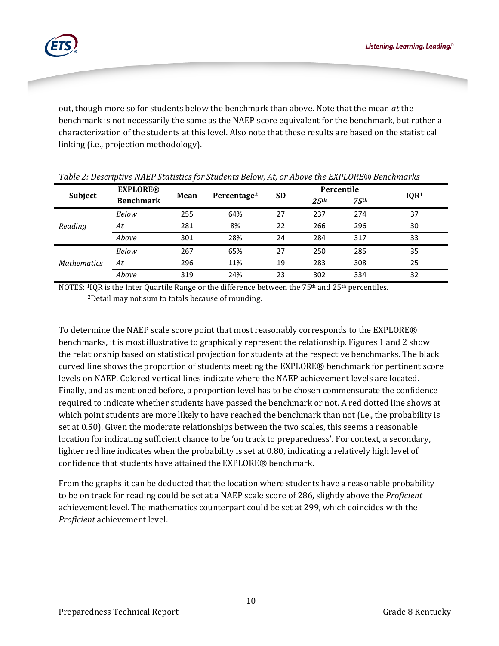

out, though more so for students below the benchmark than above. Note that the mean *at* the benchmark is not necessarily the same as the NAEP score equivalent for the benchmark, but rather a characterization of the students at this level. Also note that these results are based on the statistical linking (i.e., projection methodology).

| Subject            | <b>EXPLORE®</b>  | Mean | Percentage <sup>2</sup> | <b>SD</b> | Percentile        |                  |                  |
|--------------------|------------------|------|-------------------------|-----------|-------------------|------------------|------------------|
|                    | <b>Benchmark</b> |      |                         |           | 2.5 <sup>th</sup> | 75 <sup>th</sup> | IQR <sup>1</sup> |
|                    | Below            | 255  | 64%                     | 27        | 237               | 274              | 37               |
| Reading            | At               | 281  | 8%                      | 22        | 266               | 296              | 30               |
|                    | Above            | 301  | 28%                     | 24        | 284               | 317              | 33               |
|                    | Below            | 267  | 65%                     | 27        | 250               | 285              | 35               |
| <b>Mathematics</b> | At               | 296  | 11%                     | 19        | 283               | 308              | 25               |
|                    | Above            | 319  | 24%                     | 23        | 302               | 334              | 32               |

|  | Table 2: Descriptive NAEP Statistics for Students Below, At, or Above the EXPLORE® Benchmarks |  |  |
|--|-----------------------------------------------------------------------------------------------|--|--|
|  |                                                                                               |  |  |

NOTES: <sup>1</sup>IQR is the Inter Quartile Range or the difference between the 75<sup>th</sup> and 25<sup>th</sup> percentiles. 2Detail may not sum to totals because of rounding.

To determine the NAEP scale score point that most reasonably corresponds to the EXPLORE® benchmarks, it is most illustrative to graphically represent the relationship. Figures 1 and 2 show the relationship based on statistical projection for students at the respective benchmarks. The black curved line shows the proportion of students meeting the EXPLORE® benchmark for pertinent score levels on NAEP. Colored vertical lines indicate where the NAEP achievement levels are located. Finally, and as mentioned before, a proportion level has to be chosen commensurate the confidence required to indicate whether students have passed the benchmark or not. A red dotted line shows at which point students are more likely to have reached the benchmark than not (i.e., the probability is set at 0.50). Given the moderate relationships between the two scales, this seems a reasonable location for indicating sufficient chance to be 'on track to preparedness'. For context, a secondary, lighter red line indicates when the probability is set at 0.80, indicating a relatively high level of confidence that students have attained the EXPLORE® benchmark.

From the graphs it can be deducted that the location where students have a reasonable probability to be on track for reading could be set at a NAEP scale score of 286, slightly above the *Proficient* achievement level. The mathematics counterpart could be set at 299, which coincides with the *Proficient* achievement level.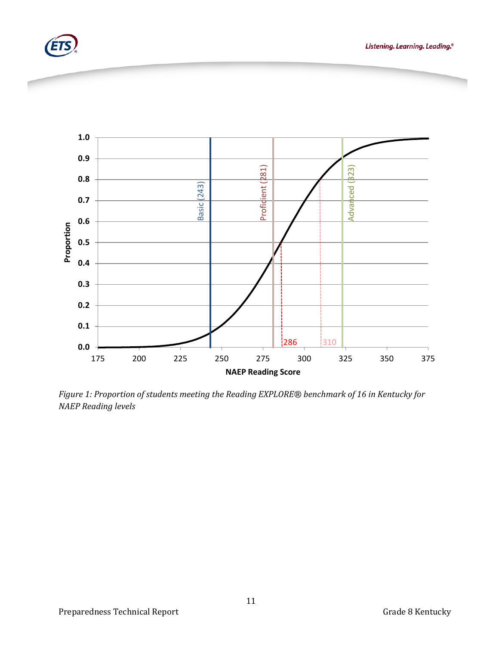





*Figure 1: Proportion of students meeting the Reading EXPLORE® benchmark of 16 in Kentucky for NAEP Reading levels*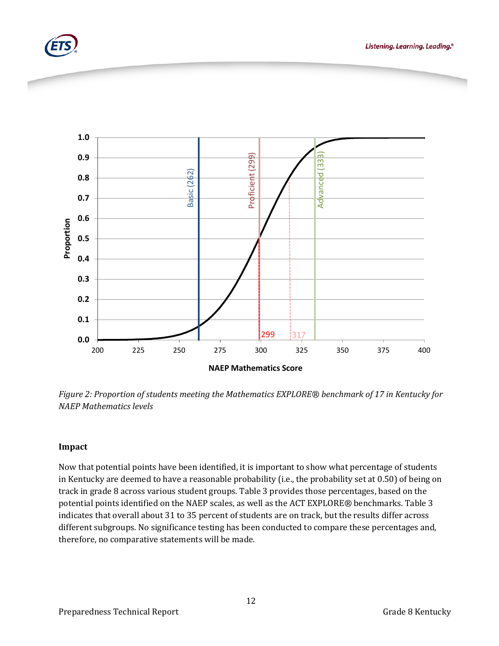





*Figure 2: Proportion of students meeting the Mathematics EXPLORE® benchmark of 17 in Kentucky for NAEP Mathematics levels*

### **Impact**

Now that potential points have been identified, it is important to show what percentage of students in Kentucky are deemed to have a reasonable probability (i.e., the probability set at 0.50) of being on track in grade 8 across various student groups. Table 3 provides those percentages, based on the potential points identified on the NAEP scales, as well as the ACT EXPLORE*®* benchmarks. Table 3 indicates that overall about 31 to 35 percent of students are on track, but the results differ across different subgroups. No significance testing has been conducted to compare these percentages and, therefore, no comparative statements will be made.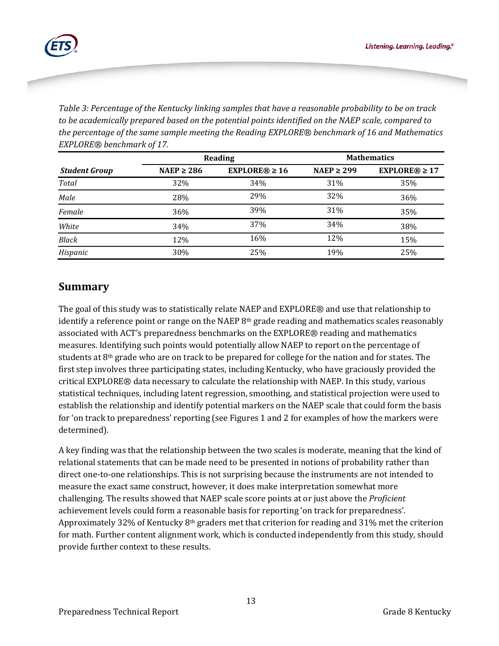

*Table 3: Percentage of the Kentucky linking samples that have a reasonable probability to be on track to be academically prepared based on the potential points identified on the NAEP scale, compared to the percentage of the same sample meeting the Reading EXPLORE® benchmark of 16 and Mathematics EXPLORE® benchmark of 17.*

|                      |                 | Reading            | <b>Mathematics</b> |                    |  |
|----------------------|-----------------|--------------------|--------------------|--------------------|--|
| <b>Student Group</b> | NAEP $\geq$ 286 | $EXPLORE@ \geq 16$ | NAEP $\geq$ 299    | $EXPLORE@ \geq 17$ |  |
| <b>Total</b>         | 32%             | 34%                | 31%                | 35%                |  |
| Male                 | 28%             | 29%                | 32%                | 36%                |  |
| Female               | 36%             | 39%                | 31%                | 35%                |  |
| White                | 34%             | 37%                | 34%                | 38%                |  |
| <b>Black</b>         | 12%             | 16%                | 12%                | 15%                |  |
| Hispanic             | 30%             | 25%                | 19%                | 25%                |  |

## **Summary**

The goal of this study was to statistically relate NAEP and EXPLORE® and use that relationship to identify a reference point or range on the NAEP  $8<sup>th</sup>$  grade reading and mathematics scales reasonably associated with ACT's preparedness benchmarks on the EXPLORE® reading and mathematics measures. Identifying such points would potentially allow NAEP to report on the percentage of students at 8th grade who are on track to be prepared for college for the nation and for states. The first step involves three participating states, including Kentucky, who have graciously provided the critical EXPLORE® data necessary to calculate the relationship with NAEP. In this study, various statistical techniques, including latent regression, smoothing, and statistical projection were used to establish the relationship and identify potential markers on the NAEP scale that could form the basis for 'on track to preparedness' reporting (see Figures 1 and 2 for examples of how the markers were determined).

A key finding was that the relationship between the two scales is moderate, meaning that the kind of relational statements that can be made need to be presented in notions of probability rather than direct one-to-one relationships. This is not surprising because the instruments are not intended to measure the exact same construct, however, it does make interpretation somewhat more challenging. The results showed that NAEP scale score points at or just above the *Proficient* achievement levels could form a reasonable basis for reporting 'on track for preparedness'. Approximately 32% of Kentucky  $8<sup>th</sup>$  graders met that criterion for reading and 31% met the criterion for math. Further content alignment work, which is conducted independently from this study, should provide further context to these results.